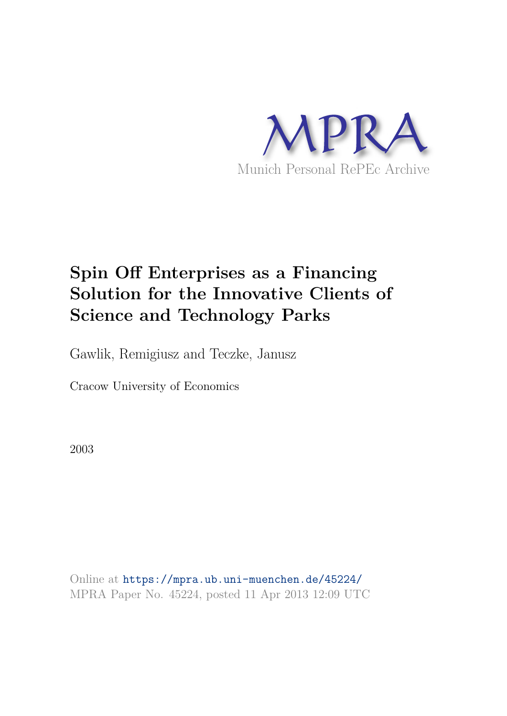

# **Spin Off Enterprises as a Financing Solution for the Innovative Clients of Science and Technology Parks**

Gawlik, Remigiusz and Teczke, Janusz

Cracow University of Economics

2003

Online at https://mpra.ub.uni-muenchen.de/45224/ MPRA Paper No. 45224, posted 11 Apr 2013 12:09 UTC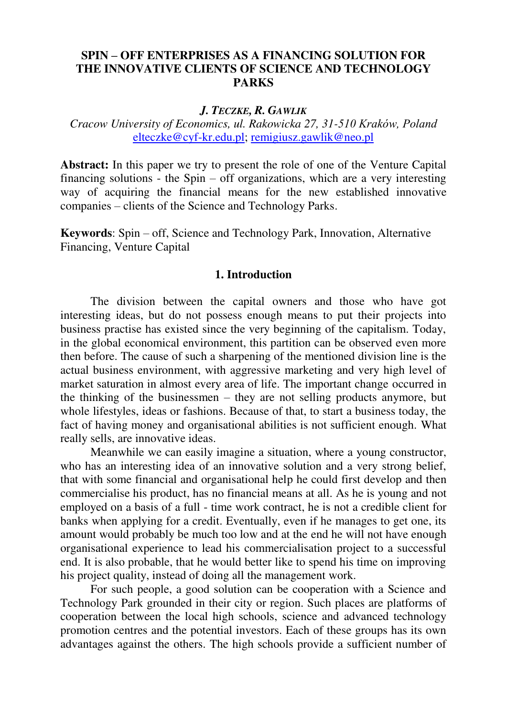# **SPIN – OFF ENTERPRISES AS A FINANCING SOLUTION FOR THE INNOVATIVE CLIENTS OF SCIENCE AND TECHNOLOGY PARKS**

### *J. TECZKE, R. GAWLIK*

*Cracow University of Economics, ul. Rakowicka 27, 31-510 Kraków, Poland* [elteczke@cyf-kr.edu.pl;](mailto:elteczke@cyf-kr.edu.pl?subject=Spin%20offs%20in%20Science%20and%20Technology%20Parks%20-%20Lw�w%2023%20-%2025%20June%202003) [remigiusz.gawlik@neo.pl](mailto:remigiusz.gawlik@neo.pl?subject=Spin%20offs%20in%20Science%20and%20Technology%20Parks%20-%20Lw�w%2023%20-%2025%20June%202003)

**Abstract:** In this paper we try to present the role of one of the Venture Capital financing solutions - the Spin – off organizations, which are a very interesting way of acquiring the financial means for the new established innovative companies – clients of the Science and Technology Parks.

**Keywords**: Spin – off, Science and Technology Park, Innovation, Alternative Financing, Venture Capital

### **1. Introduction**

 The division between the capital owners and those who have got interesting ideas, but do not possess enough means to put their projects into business practise has existed since the very beginning of the capitalism. Today, in the global economical environment, this partition can be observed even more then before. The cause of such a sharpening of the mentioned division line is the actual business environment, with aggressive marketing and very high level of market saturation in almost every area of life. The important change occurred in the thinking of the businessmen – they are not selling products anymore, but whole lifestyles, ideas or fashions. Because of that, to start a business today, the fact of having money and organisational abilities is not sufficient enough. What really sells, are innovative ideas.

 Meanwhile we can easily imagine a situation, where a young constructor, who has an interesting idea of an innovative solution and a very strong belief, that with some financial and organisational help he could first develop and then commercialise his product, has no financial means at all. As he is young and not employed on a basis of a full - time work contract, he is not a credible client for banks when applying for a credit. Eventually, even if he manages to get one, its amount would probably be much too low and at the end he will not have enough organisational experience to lead his commercialisation project to a successful end. It is also probable, that he would better like to spend his time on improving his project quality, instead of doing all the management work.

 For such people, a good solution can be cooperation with a Science and Technology Park grounded in their city or region. Such places are platforms of cooperation between the local high schools, science and advanced technology promotion centres and the potential investors. Each of these groups has its own advantages against the others. The high schools provide a sufficient number of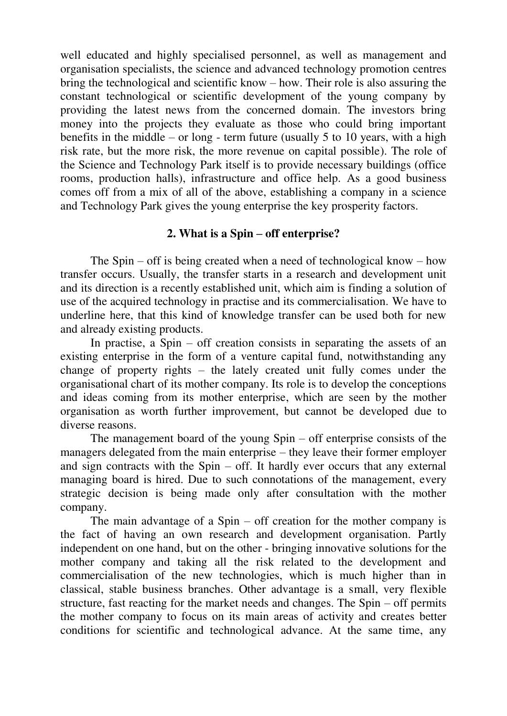well educated and highly specialised personnel, as well as management and organisation specialists, the science and advanced technology promotion centres bring the technological and scientific know – how. Their role is also assuring the constant technological or scientific development of the young company by providing the latest news from the concerned domain. The investors bring money into the projects they evaluate as those who could bring important benefits in the middle – or long - term future (usually 5 to 10 years, with a high risk rate, but the more risk, the more revenue on capital possible). The role of the Science and Technology Park itself is to provide necessary buildings (office rooms, production halls), infrastructure and office help. As a good business comes off from a mix of all of the above, establishing a company in a science and Technology Park gives the young enterprise the key prosperity factors.

# **2. What is a Spin – off enterprise?**

The Spin – off is being created when a need of technological know – how transfer occurs. Usually, the transfer starts in a research and development unit and its direction is a recently established unit, which aim is finding a solution of use of the acquired technology in practise and its commercialisation. We have to underline here, that this kind of knowledge transfer can be used both for new and already existing products.

In practise, a  $Spin - off$  creation consists in separating the assets of an existing enterprise in the form of a venture capital fund, notwithstanding any change of property rights – the lately created unit fully comes under the organisational chart of its mother company. Its role is to develop the conceptions and ideas coming from its mother enterprise, which are seen by the mother organisation as worth further improvement, but cannot be developed due to diverse reasons.

The management board of the young Spin – off enterprise consists of the managers delegated from the main enterprise – they leave their former employer and sign contracts with the Spin – off. It hardly ever occurs that any external managing board is hired. Due to such connotations of the management, every strategic decision is being made only after consultation with the mother company.

The main advantage of a  $Spin - off$  creation for the mother company is the fact of having an own research and development organisation. Partly independent on one hand, but on the other - bringing innovative solutions for the mother company and taking all the risk related to the development and commercialisation of the new technologies, which is much higher than in classical, stable business branches. Other advantage is a small, very flexible structure, fast reacting for the market needs and changes. The Spin – off permits the mother company to focus on its main areas of activity and creates better conditions for scientific and technological advance. At the same time, any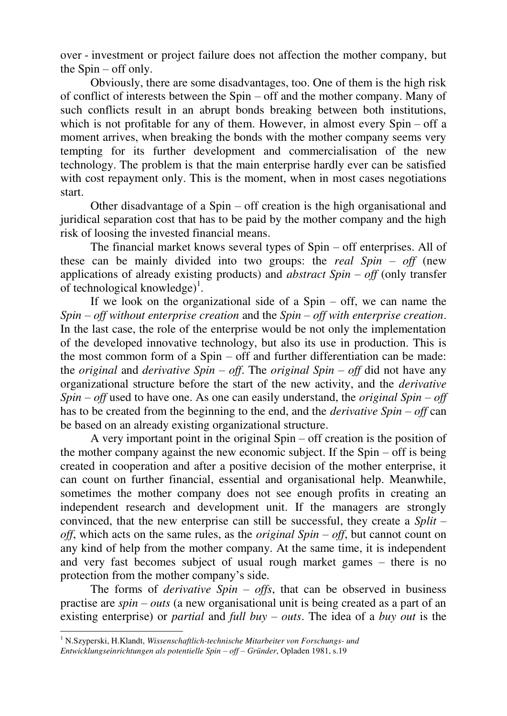over - investment or project failure does not affection the mother company, but the Spin – off only.

Obviously, there are some disadvantages, too. One of them is the high risk of conflict of interests between the Spin – off and the mother company. Many of such conflicts result in an abrupt bonds breaking between both institutions, which is not profitable for any of them. However, in almost every Spin – off a moment arrives, when breaking the bonds with the mother company seems very tempting for its further development and commercialisation of the new technology. The problem is that the main enterprise hardly ever can be satisfied with cost repayment only. This is the moment, when in most cases negotiations start.

Other disadvantage of a Spin – off creation is the high organisational and juridical separation cost that has to be paid by the mother company and the high risk of loosing the invested financial means.

The financial market knows several types of Spin – off enterprises. All of these can be mainly divided into two groups: the *real Spin – off* (new applications of already existing products) and *abstract Spin – off* (only transfer of technological knowledge $)^{1}$ .

If we look on the organizational side of a Spin – off, we can name the *Spin – off without enterprise creation* and the *Spin – off with enterprise creation*. In the last case, the role of the enterprise would be not only the implementation of the developed innovative technology, but also its use in production. This is the most common form of a Spin – off and further differentiation can be made: the *original* and *derivative Spin – off.* The *original Spin – off* did not have any organizational structure before the start of the new activity, and the *derivative Spin – off* used to have one. As one can easily understand, the *original Spin – off* has to be created from the beginning to the end, and the *derivative Spin – off* can be based on an already existing organizational structure.

A very important point in the original Spin – off creation is the position of the mother company against the new economic subject. If the Spin – off is being created in cooperation and after a positive decision of the mother enterprise, it can count on further financial, essential and organisational help. Meanwhile, sometimes the mother company does not see enough profits in creating an independent research and development unit. If the managers are strongly convinced, that the new enterprise can still be successful, they create a *Split – off*, which acts on the same rules, as the *original Spin – off*, but cannot count on any kind of help from the mother company. At the same time, it is independent and very fast becomes subject of usual rough market games – there is no protection from the mother company's side.

The forms of *derivative Spin – offs*, that can be observed in business practise are *spin – outs* (a new organisational unit is being created as a part of an existing enterprise) or *partial* and *full buy – outs*. The idea of a *buy out* is the

 $\overline{a}$ 

<sup>1</sup> N.Szyperski, H.Klandt, *Wissenschaftlich-technische Mitarbeiter von Forschungs- und Entwicklungseinrichtungen als potentielle Spin – off – Gründer*, Opladen 1981, s.19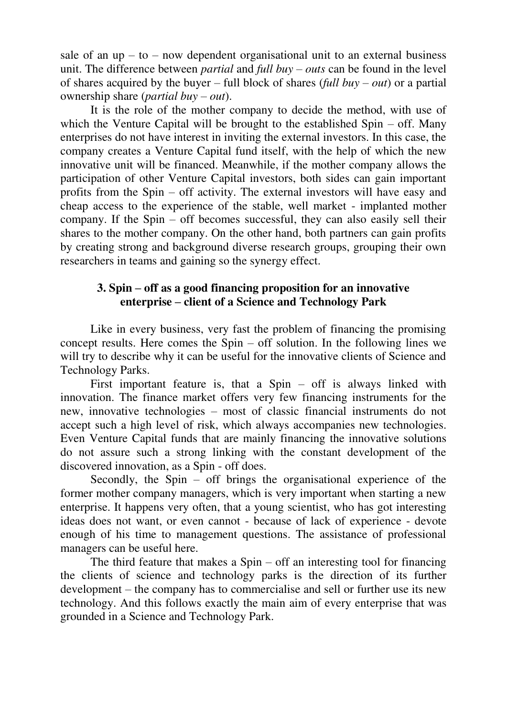sale of an  $up - to - now dependent organizational unit to an external business$ unit. The difference between *partial* and *full buy – outs* can be found in the level of shares acquired by the buyer – full block of shares (*full buy – out*) or a partial ownership share (*partial buy – out*).

It is the role of the mother company to decide the method, with use of which the Venture Capital will be brought to the established Spin – off. Many enterprises do not have interest in inviting the external investors. In this case, the company creates a Venture Capital fund itself, with the help of which the new innovative unit will be financed. Meanwhile, if the mother company allows the participation of other Venture Capital investors, both sides can gain important profits from the Spin – off activity. The external investors will have easy and cheap access to the experience of the stable, well market - implanted mother company. If the Spin – off becomes successful, they can also easily sell their shares to the mother company. On the other hand, both partners can gain profits by creating strong and background diverse research groups, grouping their own researchers in teams and gaining so the synergy effect.

# **3. Spin – off as a good financing proposition for an innovative enterprise – client of a Science and Technology Park**

 Like in every business, very fast the problem of financing the promising concept results. Here comes the Spin – off solution. In the following lines we will try to describe why it can be useful for the innovative clients of Science and Technology Parks.

First important feature is, that a  $Spin - off$  is always linked with innovation. The finance market offers very few financing instruments for the new, innovative technologies – most of classic financial instruments do not accept such a high level of risk, which always accompanies new technologies. Even Venture Capital funds that are mainly financing the innovative solutions do not assure such a strong linking with the constant development of the discovered innovation, as a Spin - off does.

 Secondly, the Spin – off brings the organisational experience of the former mother company managers, which is very important when starting a new enterprise. It happens very often, that a young scientist, who has got interesting ideas does not want, or even cannot - because of lack of experience - devote enough of his time to management questions. The assistance of professional managers can be useful here.

 The third feature that makes a Spin – off an interesting tool for financing the clients of science and technology parks is the direction of its further development – the company has to commercialise and sell or further use its new technology. And this follows exactly the main aim of every enterprise that was grounded in a Science and Technology Park.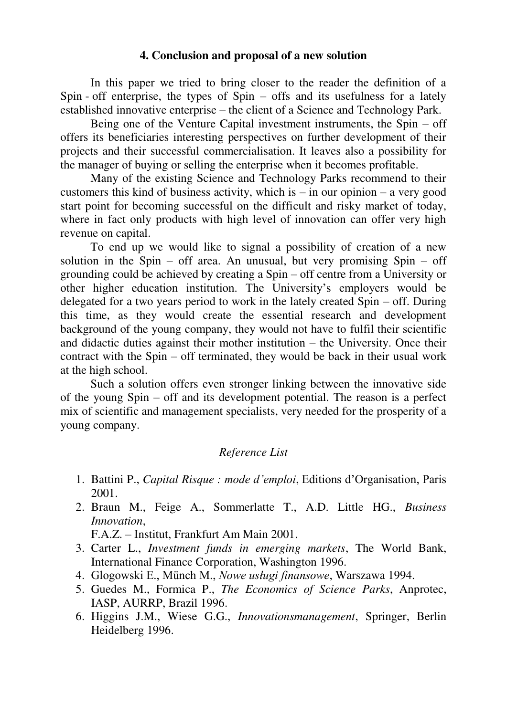## **4. Conclusion and proposal of a new solution**

In this paper we tried to bring closer to the reader the definition of a Spin - off enterprise, the types of Spin – offs and its usefulness for a lately established innovative enterprise – the client of a Science and Technology Park.

 Being one of the Venture Capital investment instruments, the Spin – off offers its beneficiaries interesting perspectives on further development of their projects and their successful commercialisation. It leaves also a possibility for the manager of buying or selling the enterprise when it becomes profitable.

 Many of the existing Science and Technology Parks recommend to their customers this kind of business activity, which is  $-$  in our opinion  $-$  a very good start point for becoming successful on the difficult and risky market of today, where in fact only products with high level of innovation can offer very high revenue on capital.

 To end up we would like to signal a possibility of creation of a new solution in the Spin – off area. An unusual, but very promising Spin – off grounding could be achieved by creating a Spin – off centre from a University or other higher education institution. The University's employers would be delegated for a two years period to work in the lately created Spin – off. During this time, as they would create the essential research and development background of the young company, they would not have to fulfil their scientific and didactic duties against their mother institution – the University. Once their contract with the Spin – off terminated, they would be back in their usual work at the high school.

 Such a solution offers even stronger linking between the innovative side of the young Spin – off and its development potential. The reason is a perfect mix of scientific and management specialists, very needed for the prosperity of a young company.

# *Reference List*

- 1. Battini P., *Capital Risque : mode d'emploi*, Editions d'Organisation, Paris 2001.
- 2. Braun M., Feige A., Sommerlatte T., A.D. Little HG., *Business Innovation*,

F.A.Z. – Institut, Frankfurt Am Main 2001.

- 3. Carter L., *Investment funds in emerging markets*, The World Bank, International Finance Corporation, Washington 1996.
- 4. Glogowski E., Münch M., *Nowe usługi finansowe*, Warszawa 1994.
- 5. Guedes M., Formica P., *The Economics of Science Parks*, Anprotec, IASP, AURRP, Brazil 1996.
- 6. Higgins J.M., Wiese G.G., *Innovationsmanagement*, Springer, Berlin Heidelberg 1996.